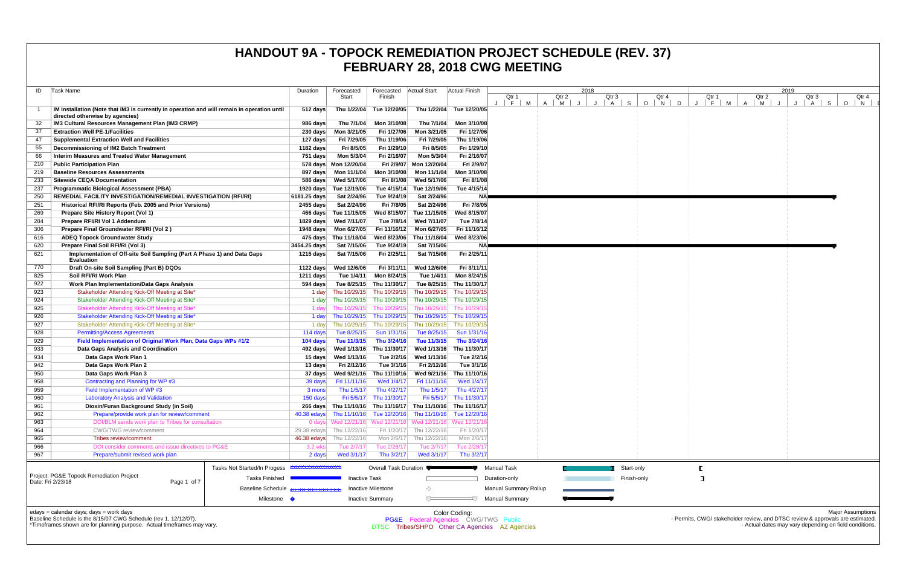| ID  | Task Name                                                                                                                                                                              | Duration              | Forecasted                                                 | Forecasted              | <b>Actual Start</b>                    | Actual Finish            |                                                | 2018            |             |                               |
|-----|----------------------------------------------------------------------------------------------------------------------------------------------------------------------------------------|-----------------------|------------------------------------------------------------|-------------------------|----------------------------------------|--------------------------|------------------------------------------------|-----------------|-------------|-------------------------------|
|     |                                                                                                                                                                                        |                       | Start                                                      | Finish                  |                                        |                          | Qtr 1<br>E<br>M                                | Qtr 2<br>A<br>M | Qtr 3<br>S  | Qt<br>$\circ$<br>$\mathbf{1}$ |
|     | IM Installation (Note that IM3 is currently in operation and will remain in operation until<br>directed otherwise by agencies)                                                         | 512 days              | Thu 1/22/04                                                | Tue 12/20/05            |                                        | Thu 1/22/04 Tue 12/20/05 |                                                |                 |             |                               |
| 32  | IM3 Cultural Resources Management Plan (IM3 CRMP)                                                                                                                                      | 986 days              | Thu 7/1/04                                                 | Mon 3/10/08             | Thu 7/1/04                             | Mon 3/10/08              |                                                |                 |             |                               |
| 37  | <b>Extraction Well PE-1/Facilities</b>                                                                                                                                                 | 230 days              | Mon 3/21/05                                                | Fri 1/27/06             | Mon 3/21/05                            | Fri 1/27/06              |                                                |                 |             |                               |
| 47  | <b>Supplemental Extraction Well and Facilities</b>                                                                                                                                     | 127 days              | Fri 7/29/05                                                | Thu 1/19/06             | Fri 7/29/05                            | Thu 1/19/06              |                                                |                 |             |                               |
| 55  | Decommissioning of IM2 Batch Treatment                                                                                                                                                 | 1182 days             | Fri 8/5/05                                                 | Fri 1/29/10             | Fri 8/5/05                             | Fri 1/29/10              |                                                |                 |             |                               |
| 66  | Interim Measures and Treated Water Management                                                                                                                                          | 751 days              | Mon 5/3/04                                                 | Fri 2/16/07             | Mon 5/3/04                             | Fri 2/16/07              |                                                |                 |             |                               |
| 210 | <b>Public Participation Plan</b>                                                                                                                                                       |                       | 578 days Mon 12/20/04                                      | Fri 2/9/07              | Mon 12/20/04                           | Fri 2/9/07               |                                                |                 |             |                               |
| 219 | <b>Baseline Resources Assessments</b>                                                                                                                                                  | 897 days              | Mon 11/1/04                                                | Mon 3/10/08             | Mon 11/1/04                            | Mon 3/10/08              |                                                |                 |             |                               |
| 233 | <b>Sitewide CEQA Documentation</b>                                                                                                                                                     | 586 days              | Wed 5/17/06                                                | Fri 8/1/08              | Wed 5/17/06                            | Fri 8/1/08               |                                                |                 |             |                               |
| 237 | <b>Programmatic Biological Assessment (PBA)</b>                                                                                                                                        | 1920 days             | Tue 12/19/06                                               | Tue 4/15/14             | Tue 12/19/06                           | Tue 4/15/14              |                                                |                 |             |                               |
| 250 | <b>REMEDIAL FACILITY INVESTIGATION/REMEDIAL INVESTIGATION (RFI/RI)</b>                                                                                                                 | 6181.25 days          | Sat 2/24/96                                                | Tue 9/24/19             | Sat 2/24/96                            | <b>NA</b>                |                                                |                 |             |                               |
| 251 | Historical RFI/RI Reports (Feb. 2005 and Prior Versions)                                                                                                                               | 2455 days             | Sat 2/24/96                                                | Fri 7/8/05              | Sat 2/24/96                            | Fri 7/8/05               |                                                |                 |             |                               |
| 269 | Prepare Site History Report (Vol 1)                                                                                                                                                    | 466 days              | Tue 11/15/05                                               | Wed 8/15/07             | Tue 11/15/05                           | Wed 8/15/07              |                                                |                 |             |                               |
| 284 | Prepare RFI/RI Vol 1 Addendum                                                                                                                                                          | $1829$ days           | Wed 7/11/07                                                | Tue 7/8/14              | Wed 7/11/07                            | Tue 7/8/14               |                                                |                 |             |                               |
| 306 | Prepare Final Groundwater RFI/RI (Vol 2)                                                                                                                                               | 1948 days             | Mon 6/27/05                                                | Fri 11/16/12            | Mon 6/27/05                            | Fri 11/16/12             |                                                |                 |             |                               |
| 616 | <b>ADEQ Topock Groundwater Study</b>                                                                                                                                                   | 475 days              | Thu 11/18/04                                               | Wed 8/23/06             | Thu 11/18/04                           | Wed 8/23/06              |                                                |                 |             |                               |
| 620 | Prepare Final Soil RFI/RI (Vol 3)                                                                                                                                                      | 3454.25 days          | Sat 7/15/06                                                | Tue 9/24/19             | Sat 7/15/06                            | NA                       |                                                |                 |             |                               |
| 621 | Implementation of Off-site Soil Sampling (Part A Phase 1) and Data Gaps<br><b>Evaluation</b>                                                                                           | 1215 days             | Sat 7/15/06                                                | Fri 2/25/11             | Sat 7/15/06                            | Fri 2/25/11              |                                                |                 |             |                               |
| 770 | Draft On-site Soil Sampling (Part B) DQOs                                                                                                                                              | 1122 days             | Wed 12/6/06                                                | Fri 3/11/11             | Wed 12/6/06                            | Fri 3/11/11              |                                                |                 |             |                               |
| 825 | Soil RFI/RI Work Plan                                                                                                                                                                  | 1211 days             | Tue 1/4/11                                                 | Mon 8/24/15             | Tue 1/4/11                             | Mon 8/24/15              |                                                |                 |             |                               |
| 922 | <b>Work Plan Implementation/Data Gaps Analysis</b>                                                                                                                                     | 594 days              | Tue 8/25/15                                                | Thu 11/30/17            | Tue 8/25/15                            | Thu 11/30/17             |                                                |                 |             |                               |
| 923 | Stakeholder Attending Kick-Off Meeting at Site*                                                                                                                                        | 1 day                 | Thu 10/29/15                                               | Thu 10/29/15            | Thu 10/29/15                           | Thu 10/29/15             |                                                |                 |             |                               |
| 924 | Stakeholder Attending Kick-Off Meeting at Site*                                                                                                                                        | 1 day                 | Thu 10/29/15                                               | Thu 10/29/15            | Thu 10/29/15                           | Thu 10/29/15             |                                                |                 |             |                               |
| 925 | Stakeholder Attending Kick-Off Meeting at Site*                                                                                                                                        | 1 day                 | Thu 10/29/15                                               | Thu 10/29/15            | Thu 10/29/15                           | Thu 10/29/1              |                                                |                 |             |                               |
| 926 | Stakeholder Attending Kick-Off Meeting at Site*                                                                                                                                        | 1 day                 | Thu 10/29/15                                               | Thu 10/29/15            | Thu 10/29/15                           | Thu 10/29/15             |                                                |                 |             |                               |
| 927 | Stakeholder Attending Kick-Off Meeting at Site*                                                                                                                                        | 1 day                 | Thu 10/29/15                                               | Thu 10/29/15            | Thu 10/29/15                           | Thu 10/29/15             |                                                |                 |             |                               |
| 928 | <b>Permitting/Access Agreements</b>                                                                                                                                                    | 114 days              | Tue 8/25/15                                                | Sun 1/31/16             | Tue 8/25/15                            | Sun 1/31/16              |                                                |                 |             |                               |
| 929 | Field Implementation of Original Work Plan, Data Gaps WPs #1/2                                                                                                                         | 104 days              | Tue 11/3/15                                                | Thu 3/24/16             | Tue 11/3/15                            | Thu 3/24/16              |                                                |                 |             |                               |
| 933 | Data Gaps Analysis and Coordination                                                                                                                                                    | 492 days              | Wed 1/13/16                                                | Thu 11/30/17            | Wed 1/13/16                            | Thu 11/30/17             |                                                |                 |             |                               |
| 934 | Data Gaps Work Plan 1                                                                                                                                                                  | 15 days               | Wed 1/13/16                                                | Tue 2/2/16              | Wed 1/13/16                            | Tue 2/2/16               |                                                |                 |             |                               |
| 942 | Data Gaps Work Plan 2                                                                                                                                                                  | 13 days               | Fri 2/12/16                                                | Tue 3/1/16              | Fri 2/12/16                            | Tue 3/1/16               |                                                |                 |             |                               |
| 950 | Data Gaps Work Plan 3                                                                                                                                                                  | 37 days               | Wed 9/21/16                                                | Thu 11/10/16            | Wed 9/21/16                            | Thu 11/10/16             |                                                |                 |             |                               |
| 958 | Contracting and Planning for WP #3                                                                                                                                                     | 39 days               | Fri 11/11/16                                               | Wed 1/4/17              | Fri 11/11/16                           | Wed 1/4/17               |                                                |                 |             |                               |
| 959 | Field Implementation of WP #3                                                                                                                                                          | 3 mons                | Thu 1/5/17                                                 | Thu 4/27/17             | Thu 1/5/17                             | Thu 4/27/17              |                                                |                 |             |                               |
| 960 | <b>Laboratory Analysis and Validation</b>                                                                                                                                              | 150 days              | Fri 5/5/17                                                 | Thu 11/30/17            | Fri 5/5/17                             | Thu 11/30/17             |                                                |                 |             |                               |
| 961 | Dioxin/Furan Background Study (in Soil)                                                                                                                                                | 266 days              | Thu 11/10/16                                               |                         | Thu 11/16/17 Thu 11/10/16 Thu 11/16/17 |                          |                                                |                 |             |                               |
| 962 | Prepare/provide work plan for review/comment                                                                                                                                           | 40.38 edays           | Thu 11/10/16                                               |                         | Tue 12/20/16 Thu 11/10/16 Tue 12/20/16 |                          |                                                |                 |             |                               |
| 963 | DOI/BLM sends work plan to Tribes for consultation                                                                                                                                     |                       | 0 days Wed 12/21/16 Wed 12/21/16 Wed 12/21/16 Wed 12/21/16 |                         |                                        |                          |                                                |                 |             |                               |
| 964 | CWG/TWG review/comment                                                                                                                                                                 | $29.38$ edays         | Thu 12/22/16                                               | Fri 1/20/17             | Thu 12/22/16                           | Fri 1/20/17              |                                                |                 |             |                               |
| 965 | Tribes review/comment                                                                                                                                                                  | 46.38 edays           | Thu 12/22/16                                               | Mon 2/6/17              | Thu 12/22/16                           | Mon 2/6/17               |                                                |                 |             |                               |
| 966 | DOI consider comments and issue directives to PG&E                                                                                                                                     | 3.2 wks               | Tue 2/7/17                                                 | Tue 2/28/17             | Tue 2/7/17                             | Tue 2/28/1               |                                                |                 |             |                               |
| 967 | Prepare/submit revised work plan                                                                                                                                                       | 2 days                | Wed 3/1/17                                                 | Thu 3/2/17              | Wed 3/1/17                             | Thu 3/2/17               |                                                |                 |             |                               |
|     | Tasks Not Started/In Progess                                                                                                                                                           | <b>MANUHAMMANUHUW</b> |                                                            | Overall Task Duration   |                                        |                          | <b>Manual Task</b>                             |                 | Start-only  |                               |
|     | Project: PG&E Topock Remediation Project<br><b>Tasks Finished</b>                                                                                                                      |                       | <b>Inactive Task</b>                                       |                         |                                        |                          | Duration-only                                  |                 | Finish-only |                               |
|     | Date: Fri 2/23/18<br>Page 1 of 7                                                                                                                                                       |                       |                                                            |                         |                                        |                          |                                                |                 |             |                               |
|     | <b>Baseline Schedule</b>                                                                                                                                                               |                       |                                                            | Inactive Milestone      | ◇                                      |                          | <b>Manual Summary Rollup</b>                   |                 |             |                               |
|     | Milestone •                                                                                                                                                                            |                       |                                                            | <b>Inactive Summary</b> | ᄃ                                      |                          | <b>Manual Summary</b>                          |                 |             |                               |
|     | edays = calendar days; days = work days<br>Baseline Schedule is the 8/15/07 CWG Schedule (rev 1, 12/12/07).<br>*Timeframes shown are for planning purpose. Actual timeframes may vary. |                       |                                                            |                         | PG&E Federal Agencies CWG/TWG Public   | Color Coding:            | DTSC Tribes/SHPO Other CA Agencies AZ Agencies |                 |             |                               |

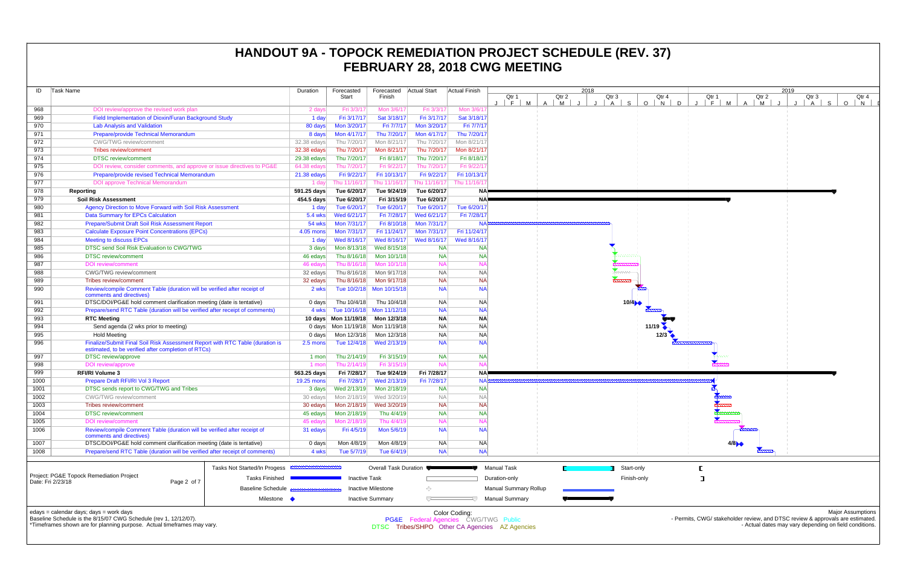| ID   | Task Name                                                                                                                                                                              |                              | Duration    | Forecasted           | Forecasted              | <b>Actual Start</b>                  | <b>Actual Finish</b> |                                                |                 | 2018                    |                          |
|------|----------------------------------------------------------------------------------------------------------------------------------------------------------------------------------------|------------------------------|-------------|----------------------|-------------------------|--------------------------------------|----------------------|------------------------------------------------|-----------------|-------------------------|--------------------------|
|      |                                                                                                                                                                                        |                              |             | Start                | Finish                  |                                      |                      | Qtr 1<br>M<br>F                                | Qtr 2<br>A<br>M | Qtr 3<br>$\overline{A}$ | Qtr<br>S<br>$\circ$<br>N |
| 968  | DOI review/approve the revised work plan                                                                                                                                               |                              | 2 days      | Fri 3/3/17           | Mon 3/6/17              | Fri 3/3/17                           | Mon 3/6/1            |                                                |                 |                         |                          |
| 969  | Field Implementation of Dioxin/Furan Background Study                                                                                                                                  |                              | 1 day       | Fri 3/17/17          | Sat 3/18/17             | Fri 3/17/17                          | Sat 3/18/17          |                                                |                 |                         |                          |
| 970  | <b>Lab Analysis and Validation</b>                                                                                                                                                     |                              | 80 days     | Mon 3/20/17          | Fri 7/7/17              | Mon 3/20/17                          | Fri 7/7/17           |                                                |                 |                         |                          |
| 971  | Prepare/provide Technical Memorandum                                                                                                                                                   |                              | 8 days      | Mon 4/17/17          | Thu 7/20/17             | Mon 4/17/17                          | Thu 7/20/17          |                                                |                 |                         |                          |
| 972  | CWG/TWG review/comment                                                                                                                                                                 |                              | 32.38 edays | Thu 7/20/17          | Mon 8/21/17             | Thu 7/20/17                          | Mon 8/21/17          |                                                |                 |                         |                          |
| 973  | <b>Tribes review/comment</b>                                                                                                                                                           |                              | 32.38 edays | Thu 7/20/17          | Mon 8/21/17             | Thu 7/20/17                          | Mon 8/21/17          |                                                |                 |                         |                          |
| 974  | <b>DTSC</b> review/comment                                                                                                                                                             |                              | 29.38 edays | Thu 7/20/17          | Fri 8/18/17             | Thu 7/20/17                          | Fri 8/18/17          |                                                |                 |                         |                          |
| 975  | DOI review, consider comments, and approve or issue directives to PG&E                                                                                                                 |                              | 64.38 edays | Thu 7/20/17          | Fri 9/22/17             | Thu 7/20/17                          | Fri 9/22/17          |                                                |                 |                         |                          |
| 976  | Prepare/provide revised Technical Memorandum                                                                                                                                           |                              | 21.38 edays | Fri 9/22/17          | Fri 10/13/17            | Fri 9/22/17                          | Fri 10/13/17         |                                                |                 |                         |                          |
| 977  | <b>DOI approve Technical Memorandum</b>                                                                                                                                                |                              | 1 day       | Thu 11/16/17         | Thu 11/16/17            | Thu 11/16/17                         | Thu 11/16/1          |                                                |                 |                         |                          |
| 978  | Reporting                                                                                                                                                                              |                              | 591.25 days | Tue 6/20/17          | Tue 9/24/19             | Tue 6/20/17                          | <b>NA</b>            |                                                |                 |                         |                          |
| 979  | <b>Soil Risk Assessment</b>                                                                                                                                                            |                              | 454.5 days  | Tue 6/20/17          | Fri 3/15/19             | Tue 6/20/17                          | <b>NA</b>            |                                                |                 |                         |                          |
| 980  | Agency Direction to Move Forward with Soil Risk Assessment                                                                                                                             |                              | 1 day       | Tue 6/20/17          | Tue 6/20/17             | Tue 6/20/17                          | Tue 6/20/17          |                                                |                 |                         |                          |
| 981  | <b>Data Summary for EPCs Calculation</b>                                                                                                                                               |                              | 5.4 wks     | Wed 6/21/17          | Fri 7/28/17             | Wed 6/21/17                          | Fri 7/28/17          |                                                |                 |                         |                          |
| 982  | Prepare/Submit Draft Soil Risk Assessment Report                                                                                                                                       |                              | 54 wks      | Mon 7/31/17          | Fri 8/10/18             | Mon 7/31/17                          | <b>NA</b>            |                                                |                 |                         |                          |
| 983  | <b>Calculate Exposure Point Concentrations (EPCs)</b>                                                                                                                                  |                              | 4.05 mons   | Mon 7/31/17          | Fri 11/24/17            | Mon 7/31/17                          | Fri 11/24/17         |                                                |                 |                         |                          |
| 984  | <b>Meeting to discuss EPCs</b>                                                                                                                                                         |                              | 1 day       | Wed 8/16/17          | Wed 8/16/17             | Wed 8/16/17                          | Wed 8/16/17          |                                                |                 |                         |                          |
| 985  | DTSC send Soil Risk Evaluation to CWG/TWG                                                                                                                                              |                              | 3 days      | Mon 8/13/18          | Wed 8/15/18             | <b>NA</b>                            | <b>NA</b>            |                                                |                 |                         |                          |
| 986  | <b>DTSC</b> review/comment                                                                                                                                                             |                              | 46 edays    | Thu 8/16/18          | Mon 10/1/18             | <b>NA</b>                            | <b>NA</b>            |                                                |                 |                         |                          |
| 987  | <b>DOI</b> review/comment                                                                                                                                                              |                              | 46 edays    | Thu 8/16/18          | Mon 10/1/18             | <b>NA</b>                            | <b>NA</b>            |                                                |                 |                         |                          |
| 988  | <b>CWG/TWG</b> review/comment                                                                                                                                                          |                              | 32 edays    | Thu 8/16/18          | Mon 9/17/18             | <b>NA</b>                            | <b>NA</b>            |                                                |                 | <b>Secondo-</b>         |                          |
| 989  | Tribes review/comment                                                                                                                                                                  |                              | 32 edays    | Thu 8/16/18          | Mon 9/17/18             | <b>NA</b>                            | <b>NA</b>            |                                                |                 | <u>mmmn</u>             |                          |
| 990  | Review/compile Comment Table (duration will be verified after receipt of<br>comments and directives)                                                                                   |                              | 2 wks       | Tue 10/2/18          | Mon 10/15/18            | <b>NA</b>                            | <b>NA</b>            |                                                |                 |                         |                          |
| 991  | DTSC/DOI/PG&E hold comment clarification meeting (date is tentative)                                                                                                                   |                              | 0 days      | Thu 10/4/18          | Thu 10/4/18             | <b>NA</b>                            | <b>NA</b>            |                                                |                 |                         | 10/4                     |
| 992  | Prepare/send RTC Table (duration will be verified after receipt of comments)                                                                                                           |                              | 4 wks       | Tue 10/16/18         | Mon 11/12/18            | <b>NA</b>                            | <b>NA</b>            |                                                |                 |                         |                          |
| 993  | <b>RTC Meeting</b>                                                                                                                                                                     |                              |             | 10 days Mon 11/19/18 | Mon 12/3/18             | <b>NA</b>                            | <b>NA</b>            |                                                |                 |                         |                          |
| 994  | Send agenda (2 wks prior to meeting)                                                                                                                                                   |                              |             | 0 days Mon 11/19/18  | Mon 11/19/18            | <b>NA</b>                            | <b>NA</b>            |                                                |                 |                         | 11/19                    |
| 995  | <b>Hold Meeting</b>                                                                                                                                                                    |                              | 0 days      | Mon 12/3/18          | Mon 12/3/18             | <b>NA</b>                            | <b>NA</b>            |                                                |                 |                         | 12/3                     |
| 996  | Finalize/Submit Final Soil Risk Assessment Report with RTC Table (duration is<br>estimated, to be verified after completion of RTCs)                                                   |                              | 2.5 mons    | Tue 12/4/18          | Wed 2/13/19             | <b>NA</b>                            | <b>NA</b>            |                                                |                 |                         |                          |
| 997  | DTSC review/approve                                                                                                                                                                    |                              | 1 mon       | Thu 2/14/19          | Fri 3/15/19             | <b>NA</b>                            | <b>NA</b>            |                                                |                 |                         |                          |
| 998  | <b>DOI</b> review/approve                                                                                                                                                              |                              | 1 mon       | Thu 2/14/19          | Fri 3/15/19             | <b>NA</b>                            | <b>NA</b>            |                                                |                 |                         |                          |
| 999  | <b>RFI/RI Volume 3</b>                                                                                                                                                                 |                              | 563.25 days | Fri 7/28/17          | Tue 9/24/19             | Fri 7/28/17                          | <b>NA</b>            |                                                |                 |                         |                          |
| 1000 | Prepare Draft RFI/RI Vol 3 Report                                                                                                                                                      |                              | 19.25 mons  | Fri 7/28/17          | Wed 2/13/19             | Fri 7/28/17                          |                      | <b>NA</b>                                      |                 |                         |                          |
| 1001 | DTSC sends report to CWG/TWG and Tribes                                                                                                                                                |                              | 3 days      | Wed 2/13/19          | Mon 2/18/19             | <b>NA</b>                            | <b>NA</b>            |                                                |                 |                         |                          |
| 1002 | <b>CWG/TWG</b> review/comment                                                                                                                                                          |                              | 30 edays    | Mon 2/18/19          | Wed 3/20/19             | <b>NA</b>                            | <b>NA</b>            |                                                |                 |                         |                          |
| 1003 | Tribes review/comment                                                                                                                                                                  |                              | 30 edays    | Mon 2/18/19          | Wed 3/20/19             | <b>NA</b>                            | <b>NA</b>            |                                                |                 |                         |                          |
| 1004 | <b>DTSC</b> review/comment                                                                                                                                                             |                              | 45 edays    | Mon 2/18/19          | Thu 4/4/19              | <b>NA</b>                            | <b>NA</b>            |                                                |                 |                         |                          |
| 1005 | <b>DOI</b> review/comment                                                                                                                                                              |                              | 45 edays    | Mon 2/18/19          | Thu 4/4/19              | <b>NA</b>                            | <b>NA</b>            |                                                |                 |                         |                          |
| 1006 | Review/compile Comment Table (duration will be verified after receipt of<br>comments and directives)                                                                                   |                              | 31 edays    | Fri 4/5/19           | Mon 5/6/19              | <b>NA</b>                            | <b>NA</b>            |                                                |                 |                         |                          |
| 1007 | DTSC/DOI/PG&E hold comment clarification meeting (date is tentative)                                                                                                                   |                              | 0 days      | Mon 4/8/19           | Mon 4/8/19              | NA.                                  | <b>NA</b>            |                                                |                 |                         |                          |
| 1008 | Prepare/send RTC Table (duration will be verified after receipt of comments)                                                                                                           |                              | 4 wks       | Tue 5/7/19           | Tue 6/4/19              | <b>NA</b>                            | <b>NA</b>            |                                                |                 |                         |                          |
|      |                                                                                                                                                                                        | Tasks Not Started/In Progess |             |                      | Overall Task Duration   |                                      |                      | <b>Manual Task</b>                             |                 |                         | Start-only               |
|      | Project: PG&E Topock Remediation Project                                                                                                                                               | <b>Tasks Finished</b>        |             | <b>Inactive Task</b> |                         |                                      |                      | Duration-only                                  |                 |                         | Finish-only              |
|      | Date: Fri 2/23/18<br>Page 2 of 7                                                                                                                                                       | Baseline Schedule            |             |                      | Inactive Milestone      | ◇                                    |                      | <b>Manual Summary Rollup</b>                   |                 |                         |                          |
|      |                                                                                                                                                                                        | Milestone •                  |             |                      | <b>Inactive Summary</b> | ᅲ                                    |                      | <b>Manual Summary</b>                          |                 |                         |                          |
|      | edays = calendar days; days = work days<br>Baseline Schedule is the 8/15/07 CWG Schedule (rev 1, 12/12/07).<br>*Timeframes shown are for planning purpose. Actual timeframes may vary. |                              |             |                      |                         | PG&E Federal Agencies CWG/TWG Public | Color Coding:        | DTSC Tribes/SHPO Other CA Agencies AZ Agencies |                 |                         |                          |

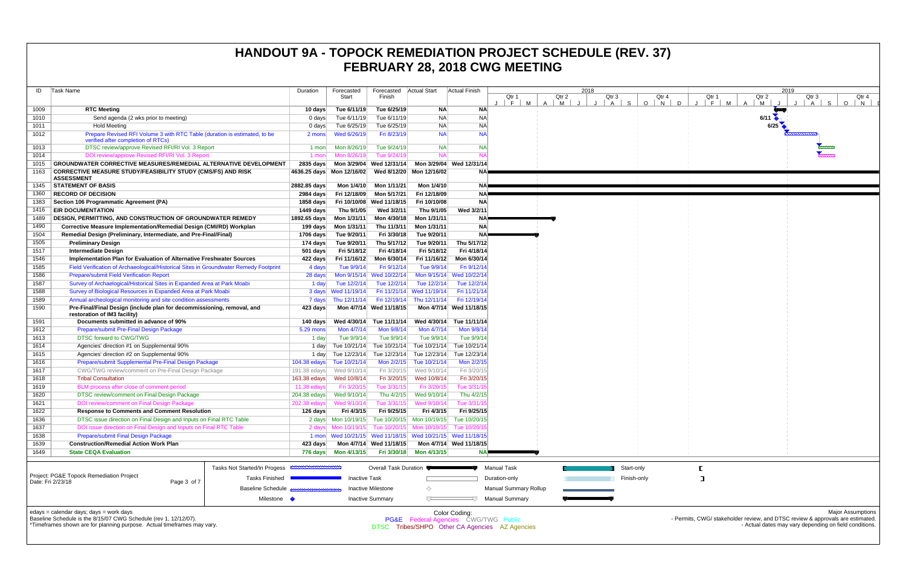| ID   | Task Name                                                                                                       |                              | Duration           | Forecasted<br>Start       | Forecasted<br>Finish      | <b>Actual Start</b>                                                    | <b>Actual Finish</b>     | 2018<br>Qtr 2<br>Qtr 3<br>Qtr<br>Qtr 1 |                       |   |  |  |         |         |                |  |
|------|-----------------------------------------------------------------------------------------------------------------|------------------------------|--------------------|---------------------------|---------------------------|------------------------------------------------------------------------|--------------------------|----------------------------------------|-----------------------|---|--|--|---------|---------|----------------|--|
|      |                                                                                                                 |                              |                    |                           |                           |                                                                        |                          | F.<br>м                                | $\overline{A}$        | M |  |  | S.<br>A | $\circ$ | $\overline{N}$ |  |
| 1009 | <b>RTC Meeting</b>                                                                                              |                              | 10 days            | Tue 6/11/19               | Tue 6/25/19               | <b>NA</b>                                                              | <b>NA</b>                |                                        |                       |   |  |  |         |         |                |  |
| 1010 | Send agenda (2 wks prior to meeting)                                                                            |                              | $0$ days           | Tue 6/11/19               | Tue 6/11/19               | <b>NA</b>                                                              | <b>NA</b>                |                                        |                       |   |  |  |         |         |                |  |
| 1011 | <b>Hold Meeting</b>                                                                                             |                              | $0$ days           | Tue 6/25/19               | Tue 6/25/19               | <b>NA</b>                                                              | <b>NA</b>                |                                        |                       |   |  |  |         |         |                |  |
| 1012 | Prepare Revised RFI Volume 3 with RTC Table (duration is estimated, to be<br>verified after completion of RTCs) |                              | 2 mons             | Wed 6/26/19               | Fri 8/23/19               | <b>NA</b>                                                              | <b>NA</b>                |                                        |                       |   |  |  |         |         |                |  |
| 1013 | DTSC review/approve Revised RFI/RI Vol. 3 Report                                                                |                              | 1 mon              | Mon 8/26/19               | Tue 9/24/19               | <b>NA</b>                                                              | <b>NA</b>                |                                        |                       |   |  |  |         |         |                |  |
| 1014 | DOI review/approve Revised RFI/RI Vol. 3 Report                                                                 |                              | 1 mon              | Mon 8/26/19               | Tue 9/24/19               | <b>NA</b>                                                              | N/                       |                                        |                       |   |  |  |         |         |                |  |
| 1015 | <b>GROUNDWATER CORRECTIVE MEASURES/REMEDIAL ALTERNATIVE DEVELOPMENT</b>                                         |                              | 2835 days          | Mon 3/29/04               | Wed 12/31/14              |                                                                        | Mon 3/29/04 Wed 12/31/14 |                                        |                       |   |  |  |         |         |                |  |
| 1163 | <b>CORRECTIVE MEASURE STUDY/FEASIBILITY STUDY (CMS/FS) AND RISK</b><br><b>ASSESSMENT</b>                        |                              |                    | 4636.25 days Mon 12/16/02 | Wed 8/12/20               | Mon 12/16/02                                                           | <b>NA</b>                |                                        |                       |   |  |  |         |         |                |  |
| 1345 | <b>STATEMENT OF BASIS</b>                                                                                       |                              | 2882.85 days       | Mon 1/4/10                | Mon 1/11/21               | Mon 1/4/10                                                             | <b>NA</b>                |                                        |                       |   |  |  |         |         |                |  |
| 1360 | <b>RECORD OF DECISION</b>                                                                                       |                              | 2984 days          | Fri 12/18/09              | Mon 5/17/21               | Fri 12/18/09                                                           | <b>NA</b>                |                                        |                       |   |  |  |         |         |                |  |
| 1383 | Section 106 Programmatic Agreement (PA)                                                                         |                              | 1858 days          | Fri 10/10/08              | Wed 11/18/15              | Fri 10/10/08                                                           | <b>NA</b>                |                                        |                       |   |  |  |         |         |                |  |
| 1416 | <b>EIR DOCUMENTATION</b>                                                                                        |                              | 1449 days          | Thu 9/1/05                | Wed 3/2/11                | Thu 9/1/05                                                             | Wed 3/2/11               |                                        |                       |   |  |  |         |         |                |  |
| 1489 | <b>DESIGN, PERMITTING, AND CONSTRUCTION OF GROUNDWATER REMEDY</b>                                               |                              | 1892.65 days       | Mon 1/31/11               | Mon 4/30/18               | Mon 1/31/11                                                            | <b>NA</b>                |                                        |                       |   |  |  |         |         |                |  |
| 1490 | Corrective Measure Implementation/Remedial Design (CMI/RD) Workplan                                             |                              | 199 days           | Mon 1/31/11               | Thu 11/3/11               | Mon 1/31/11                                                            | <b>NA</b>                |                                        |                       |   |  |  |         |         |                |  |
| 1504 | Remedial Design (Preliminary, Intermediate, and Pre-Final/Final)                                                |                              | 1706 days          | Tue 9/20/11               | Fri 3/30/18               | Tue 9/20/11                                                            | <b>NA</b>                |                                        |                       |   |  |  |         |         |                |  |
| 1505 | <b>Preliminary Design</b>                                                                                       |                              | 174 days           | Tue 9/20/11               | Thu 5/17/12               | Tue 9/20/11                                                            | Thu 5/17/12              |                                        |                       |   |  |  |         |         |                |  |
| 1517 | <b>Intermediate Design</b>                                                                                      |                              | $501$ days         | Fri 5/18/12               | Fri 4/18/14               | Fri 5/18/12                                                            | Fri 4/18/14              |                                        |                       |   |  |  |         |         |                |  |
| 1546 | Implementation Plan for Evaluation of Alternative Freshwater Sources                                            | 422 days                     | Fri 11/16/12       | Mon 6/30/14               | Fri 11/16/12              | Mon 6/30/14                                                            |                          |                                        |                       |   |  |  |         |         |                |  |
| 1585 | Field Verification of Archaeological/Historical Sites in Groundwater Remedy Footprint                           | 4 days                       | Tue 9/9/14         | Fri 9/12/14               | Tue 9/9/14                | Fri 9/12/14                                                            |                          |                                        |                       |   |  |  |         |         |                |  |
| 1586 | <b>Prepare/submit Field Verification Report</b>                                                                 | 28 days                      | Mon 9/15/14        | Wed 10/22/14              |                           | Mon 9/15/14 Wed 10/22/14                                               |                          |                                        |                       |   |  |  |         |         |                |  |
| 1587 | Survey of Archaelogical/Historical Sites in Expanded Area at Park Moabi                                         |                              | 1 day              | Tue 12/2/14               | Tue 12/2/14               | Tue 12/2/14                                                            | Tue 12/2/14              |                                        |                       |   |  |  |         |         |                |  |
| 1588 | Survey of Biological Resources in Expanded Area at Park Moabi                                                   |                              | 3 days             | Wed 11/19/14              | Fri 11/21/14              | Wed 11/19/14                                                           | Fri 11/21/14             |                                        |                       |   |  |  |         |         |                |  |
| 1589 | Annual archeological monitoring and site condition assessments                                                  |                              | 7 days             | Thu 12/11/14              | Fri 12/19/14              | Thu 12/11/14                                                           | Fri 12/19/14             |                                        |                       |   |  |  |         |         |                |  |
| 1590 | Pre-Final/Final Design (include plan for decommissioning, removal, and<br>restoration of IM3 facility)          |                              | 423 days           | Mon 4/7/14                | Wed 11/18/15              |                                                                        | Mon 4/7/14 Wed 11/18/15  |                                        |                       |   |  |  |         |         |                |  |
| 1591 | Documents submitted in advance of 90%                                                                           |                              | 140 days           | Wed 4/30/14               | Tue 11/11/14              | Wed 4/30/14                                                            | Tue 11/11/14             |                                        |                       |   |  |  |         |         |                |  |
| 1612 | Prepare/submit Pre-Final Design Package                                                                         |                              | 5.29 mons          | Mon 4/7/14                | Mon 9/8/14                | Mon 4/7/14                                                             | Mon 9/8/14               |                                        |                       |   |  |  |         |         |                |  |
| 1613 | <b>DTSC forward to CWG/TWG</b>                                                                                  |                              | 1 day              | Tue 9/9/14                | Tue 9/9/14                | Tue 9/9/14                                                             | Tue 9/9/14               |                                        |                       |   |  |  |         |         |                |  |
| 1614 | Agencies' direction #1 on Supplemental 90%                                                                      |                              | 1 day              | Tue 10/21/14              | Tue 10/21/14              | Tue 10/21/14                                                           | Tue 10/21/14             |                                        |                       |   |  |  |         |         |                |  |
| 1615 | Agencies' direction #2 on Supplemental 90%                                                                      |                              | 1 day              | Tue 12/23/14              | Tue 12/23/14              | Tue 12/23/14                                                           | Tue 12/23/14             |                                        |                       |   |  |  |         |         |                |  |
| 1616 | Prepare/submit Supplemental Pre-Final Design Package                                                            |                              | 104.38 edays       | Tue 10/21/14              | Mon 2/2/15                | Tue 10/21/14                                                           | Mon 2/2/15               |                                        |                       |   |  |  |         |         |                |  |
| 1617 | CWG/TWG review/comment on Pre-Final Design Package                                                              |                              | $191.38$ edays     | Wed 9/10/14               | Fri 3/20/15               | Wed 9/10/14                                                            | Fri 3/20/15              |                                        |                       |   |  |  |         |         |                |  |
| 1618 | <b>Tribal Consultation</b>                                                                                      |                              | $163.38$ edays     | Wed 10/8/14               | Fri 3/20/15               | Wed 10/8/14                                                            | Fri 3/20/15              |                                        |                       |   |  |  |         |         |                |  |
| 1619 | BLM process after close of comment period                                                                       |                              | 11.38 edays        | Fri 3/20/15               | Tue 3/31/15               | Fri 3/20/15                                                            | Tue 3/31/1               |                                        |                       |   |  |  |         |         |                |  |
| 1620 | DTSC review/comment on Final Design Package                                                                     |                              | 204.38 edays       | Wed 9/10/14               | Thu 4/2/15                | Wed 9/10/14                                                            | Thu 4/2/15               |                                        |                       |   |  |  |         |         |                |  |
| 1621 | DOI review/comment on Final Design Package                                                                      |                              | 202.38 edays       | Wed 9/10/14               | Tue 3/31/15               | Wed 9/10/14                                                            | Tue 3/31/1               |                                        |                       |   |  |  |         |         |                |  |
| 1622 | <b>Response to Comments and Comment Resolution</b>                                                              |                              | 126 days           | Fri 4/3/15                | Fri 9/25/15               | Fri 4/3/15                                                             | Fri 9/25/15              |                                        |                       |   |  |  |         |         |                |  |
| 1636 | DTSC issue direction on Final Design and Inputs on Final RTC Table                                              |                              |                    |                           |                           | 2 days    Mon 10/19/15    Tue 10/20/15    Mon 10/19/15    Tue 10/20/15 |                          |                                        |                       |   |  |  |         |         |                |  |
| 1637 | DOI issue direction on Final Design and Inputs on Final RTC Table                                               |                              | 2 days             | Mon 10/19/15              |                           | Tue 10/20/15 Mon 10/19/15                                              | Tue 10/20/1              |                                        |                       |   |  |  |         |         |                |  |
| 1638 | Prepare/submit Final Design Package                                                                             |                              |                    |                           |                           | 1 mon Wed 10/21/15 Wed 11/18/15 Wed 10/21/15 Wed 11/18/15              |                          |                                        |                       |   |  |  |         |         |                |  |
| 1639 | <b>Construction/Remedial Action Work Plan</b>                                                                   | 423 days                     |                    | Mon 4/7/14 Wed 11/18/15   |                           | Mon 4/7/14 Wed 11/18/15                                                |                          |                                        |                       |   |  |  |         |         |                |  |
| 1649 | <b>State CEQA Evaluation</b>                                                                                    |                              | 776 days           | Mon 4/13/15               | Fri 3/30/18               | Mon 4/13/15                                                            | <b>NA</b>                |                                        |                       |   |  |  |         |         |                |  |
|      |                                                                                                                 | Tasks Not Started/In Progess | <b>MMMMMMMMMMM</b> |                           | Overall Task Duration     |                                                                        |                          | <b>Manual Task</b>                     |                       |   |  |  |         |         | Start-only     |  |
|      | Project: PG&E Topock Remediation Project<br>Date: Fri 2/23/18<br>Page 3 of 7                                    | <b>Tasks Finished</b>        |                    | <b>Inactive Task</b>      |                           |                                                                        |                          | Duration-only                          |                       |   |  |  |         |         | Finish-only    |  |
|      |                                                                                                                 | Baseline Schedule            |                    |                           | <b>Inactive Milestone</b> | ◇                                                                      |                          |                                        | Manual Summary Rollup |   |  |  |         |         |                |  |
|      |                                                                                                                 | Milestone $\bullet$          |                    |                           | <b>Inactive Summary</b>   | $\overline{C}$                                                         | スフ                       |                                        | <b>Manual Summary</b> |   |  |  |         |         |                |  |

Color Coding: PG&E Federal Agencies CWG/TWG Public

# **HANDOUT 9A - TOPOCK REMEDIATION PROJECT SCHEDULE (REV. 37) FEBRUARY 28, 2018 CWG MEETING**

edays = calendar days; days = work days



Baseline Schedule is the 8/15/07 CWG Schedule (rev 1, 12/12/07).

\*Timeframes shown are for planning purpose. Actual timeframes may vary.

DTSC Tribes/SHPO Other CA Agencies AZ Agencies

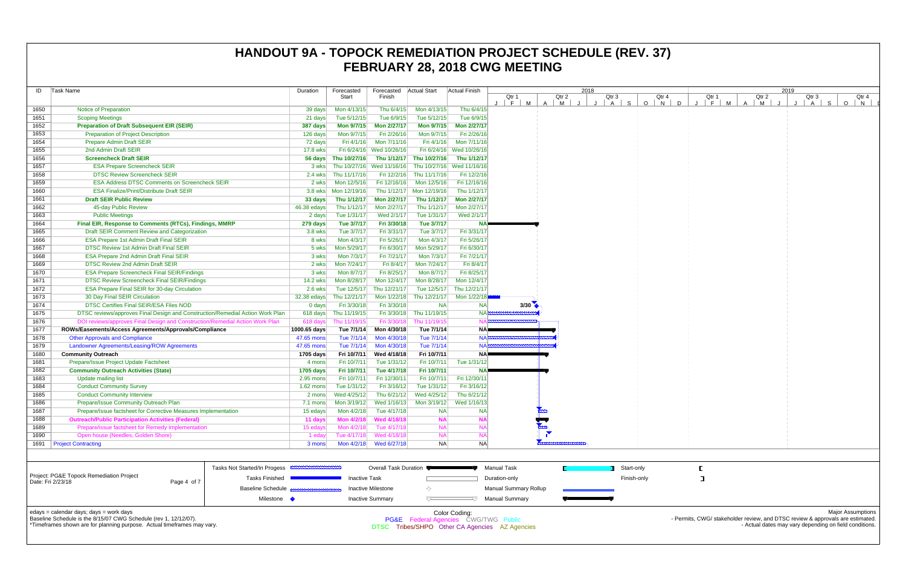|                                                                                                | <b>ID</b> Task Name                                                             | Duration             | Forecasted                  | Forecasted   Actual Start                                |                           | Actual Finish                        |                                                |                     | 2018 |                   |                          |   |       |                                                                                | 2019 |                      |              |
|------------------------------------------------------------------------------------------------|---------------------------------------------------------------------------------|----------------------|-----------------------------|----------------------------------------------------------|---------------------------|--------------------------------------|------------------------------------------------|---------------------|------|-------------------|--------------------------|---|-------|--------------------------------------------------------------------------------|------|----------------------|--------------|
|                                                                                                |                                                                                 |                      | Start                       | Finish                                                   |                           |                                      | Qtr 1                                          | Qtr 2               |      | Qtr 3             | Qtr 4                    |   | Qtr 1 | Qtr 2                                                                          |      | Qtr 3                | Qtr 4        |
| 1650                                                                                           | Notice of Preparation                                                           | 39 days              | Mon 4/13/15                 | Thu 6/4/15                                               | Mon 4/13/15               | Thu 6/4/15                           | $F$ M                                          | M<br>$\overline{A}$ |      | S<br>$\mathsf{A}$ | $O$ $N$                  | D | F M   | M<br>$\overline{A}$                                                            |      | $\overline{A}$<br>S. | $\circ$<br>N |
| 1651                                                                                           | <b>Scoping Meetings</b>                                                         | 21 days              | Tue 5/12/15                 | Tue 6/9/15                                               | Tue 5/12/15               | Tue 6/9/15                           |                                                |                     |      |                   |                          |   |       |                                                                                |      |                      |              |
| 1652                                                                                           | <b>Preparation of Draft Subsequent EIR (SEIR)</b>                               | 387 days             | <b>Mon 9/7/15</b>           | <b>Mon 2/27/17</b>                                       | <b>Mon 9/7/15</b>         | Mon 2/27/17                          |                                                |                     |      |                   |                          |   |       |                                                                                |      |                      |              |
| 1653                                                                                           | <b>Preparation of Project Description</b>                                       | 126 days             | Mon 9/7/15                  | Fri 2/26/16                                              | Mon 9/7/15                | Fri 2/26/16                          |                                                |                     |      |                   |                          |   |       |                                                                                |      |                      |              |
| 1654                                                                                           | <b>Prepare Admin Draft SEIR</b>                                                 | 72 days              | Fri 4/1/16                  | Mon 7/11/16                                              | Fri 4/1/16                | Mon 7/11/16                          |                                                |                     |      |                   |                          |   |       |                                                                                |      |                      |              |
| 1655                                                                                           | 2nd Admin Draft SEIR                                                            | 17.8 wks             |                             | Fri 6/24/16 Wed 10/26/16                                 |                           | Fri 6/24/16 Wed 10/26/16             |                                                |                     |      |                   |                          |   |       |                                                                                |      |                      |              |
| 1656                                                                                           | <b>Screencheck Draft SEIR</b>                                                   |                      | 56 days Thu 10/27/16        |                                                          | Thu 1/12/17 Thu 10/27/16  | Thu 1/12/17                          |                                                |                     |      |                   |                          |   |       |                                                                                |      |                      |              |
| 1657                                                                                           | <b>ESA Prepare Screencheck SEIR</b>                                             | 3 wks                |                             | Thu 10/27/16 Wed 11/16/16 Thu 10/27/16 Wed 11/16/16      |                           |                                      |                                                |                     |      |                   |                          |   |       |                                                                                |      |                      |              |
| 1658                                                                                           | <b>DTSC Review Screencheck SEIR</b>                                             | 2.4 wks              | Thu 11/17/16                |                                                          | Fri 12/2/16 Thu 11/17/16  | Fri 12/2/16                          |                                                |                     |      |                   |                          |   |       |                                                                                |      |                      |              |
| 1659                                                                                           | <b>ESA Address DTSC Comments on Screencheck SEIR</b>                            | 2 wks                | Mon 12/5/16                 | Fri 12/16/16                                             | Mon 12/5/16               | Fri 12/16/16                         |                                                |                     |      |                   |                          |   |       |                                                                                |      |                      |              |
| 1660                                                                                           | <b>ESA Finalize/Print/Distribute Draft SEIR</b>                                 |                      | 3.8 wks   Mon 12/19/16      | Thu 1/12/17                                              | Mon 12/19/16              | Thu 1/12/17                          |                                                |                     |      |                   |                          |   |       |                                                                                |      |                      |              |
| 1661                                                                                           | <b>Draft SEIR Public Review</b>                                                 | 33 days              | Thu 1/12/17                 | <b>Mon 2/27/17</b>                                       | Thu 1/12/17               | Mon 2/27/17                          |                                                |                     |      |                   |                          |   |       |                                                                                |      |                      |              |
| 1662                                                                                           | 45-day Public Review                                                            | 46.38 edays          | Thu 1/12/17                 | Mon 2/27/17                                              | Thu 1/12/17               | Mon 2/27/17                          |                                                |                     |      |                   |                          |   |       |                                                                                |      |                      |              |
| 1663                                                                                           | <b>Public Meetings</b>                                                          | 2 days               | Tue 1/31/17                 | Wed 2/1/17                                               | Tue 1/31/17               | Wed 2/1/17                           |                                                |                     |      |                   |                          |   |       |                                                                                |      |                      |              |
| 1664                                                                                           | Final EIR, Response to Comments (RTCs), Findings, MMRP                          | 279 days             | Tue 3/7/17                  | Fri 3/30/18                                              | Tue 3/7/17                |                                      |                                                |                     |      |                   |                          |   |       |                                                                                |      |                      |              |
| 1665                                                                                           | Draft SEIR Comment Review and Categorization                                    | 3.8 wks              | Tue 3/7/17                  | Fri 3/31/17                                              | Tue 3/7/17                | Fri 3/31/17                          |                                                |                     |      |                   |                          |   |       |                                                                                |      |                      |              |
| 1666                                                                                           | <b>ESA Prepare 1st Admin Draft Final SEIR</b>                                   | 8 wks                | Mon 4/3/17                  | Fri 5/26/17                                              | Mon 4/3/17                | Fri 5/26/17                          |                                                |                     |      |                   |                          |   |       |                                                                                |      |                      |              |
| 1667                                                                                           | <b>DTSC Review 1st Admin Draft Final SEIR</b>                                   | 5 wks                | Mon 5/29/17                 | Fri 6/30/17                                              | Mon 5/29/17               | Fri 6/30/17                          |                                                |                     |      |                   |                          |   |       |                                                                                |      |                      |              |
| 1668                                                                                           | <b>ESA Prepare 2nd Admin Draft Final SEIR</b>                                   | 3 wks                | Mon 7/3/17                  | Fri 7/21/17                                              | Mon 7/3/17                | Fri 7/21/17                          |                                                |                     |      |                   |                          |   |       |                                                                                |      |                      |              |
| 1669                                                                                           | DTSC Review 2nd Admin Draft SEIR                                                | 2 wks                | Mon 7/24/17                 | Fri 8/4/17                                               | Mon 7/24/17               | Fri 8/4/17                           |                                                |                     |      |                   |                          |   |       |                                                                                |      |                      |              |
| 1670                                                                                           | <b>ESA Prepare Screencheck Final SEIR/Findings</b>                              | 3 wks                | Mon 8/7/17                  | Fri 8/25/17                                              | Mon 8/7/17                | Fri 8/25/17                          |                                                |                     |      |                   |                          |   |       |                                                                                |      |                      |              |
| 1671                                                                                           | <b>DTSC Review Screencheck Final SEIR/Findings</b>                              | 14.2 wks             | Mon 8/28/17                 | Mon 12/4/17                                              | Mon 8/28/17               | Mon 12/4/17                          |                                                |                     |      |                   |                          |   |       |                                                                                |      |                      |              |
| 1672                                                                                           | <b>ESA Prepare Final SEIR for 30-day Circulation</b>                            | 2.6 wks              | Tue 12/5/17                 | Thu 12/21/17                                             | Tue 12/5/17               | Thu 12/21/17                         |                                                |                     |      |                   |                          |   |       |                                                                                |      |                      |              |
| 1673                                                                                           | 30 Day Final SEIR Circulation<br><b>DTSC Certifies Final SEIR/ESA Files NOD</b> | 32.38 edays          | Thu 12/21/17                | Mon 1/22/18                                              | Thu 12/21/17<br><b>NA</b> | Mon 1/22/18                          |                                                |                     |      |                   |                          |   |       |                                                                                |      |                      |              |
| 1674<br>1675                                                                                   | DTSC reviews/approves Final Design and Construction/Remedial Action Work Plan   | $0$ days<br>618 days | Fri 3/30/18<br>Thu 11/19/15 | Fri 3/30/18                                              | Fri 3/30/18 Thu 11/19/15  | <b>NA</b><br><b>NAP</b>              | $3/30$ $\bullet$                               |                     |      |                   |                          |   |       |                                                                                |      |                      |              |
| 1676                                                                                           | DOI reviews/approves Final Design and Construction/Remedial Action Work Plan    | 618 days             | Thu 11/19/15                | Fri 3/30/18                                              | Thu 11/19/15              |                                      |                                                |                     |      |                   |                          |   |       |                                                                                |      |                      |              |
| 1677                                                                                           | ROWs/Easements/Access Agreements/Approvals/Compliance                           | 1000.65 days         | Tue 7/1/14                  | Mon 4/30/18                                              | Tue 7/1/14                | NA                                   |                                                |                     |      |                   |                          |   |       |                                                                                |      |                      |              |
| 1678                                                                                           | <b>Other Approvals and Compliance</b>                                           | 47.65 mons           | Tue 7/1/14                  | Mon 4/30/18                                              | Tue 7/1/14                | $NA \approx$                         |                                                |                     |      |                   |                          |   |       |                                                                                |      |                      |              |
| 1679                                                                                           | <b>Landowner Agreements/Leasing/ROW Agreements</b>                              | 47.65 mons           | Tue 7/1/14                  | Mon 4/30/18                                              | Tue 7/1/14                | $NA \approx$                         |                                                |                     |      |                   |                          |   |       |                                                                                |      |                      |              |
| 1680                                                                                           | <b>Community Outreach</b>                                                       | 1705 days            | Fri 10/7/11                 | Wed 4/18/18                                              | Fri 10/7/11               | $NA =$                               |                                                |                     |      |                   |                          |   |       |                                                                                |      |                      |              |
| 1681                                                                                           | Prepare/Issue Project Update Factsheet                                          | 4 mons               | Fri 10/7/11                 | Tue 1/31/12                                              | Fri 10/7/11               | Tue 1/31/12                          |                                                |                     |      |                   |                          |   |       |                                                                                |      |                      |              |
| 1682                                                                                           | <b>Community Outreach Activities (State)</b>                                    | 1705 days            | Fri 10/7/11                 | Tue 4/17/18                                              | Fri 10/7/11               | NΑ                                   |                                                |                     |      |                   |                          |   |       |                                                                                |      |                      |              |
| 1683                                                                                           | <b>Update mailing list</b>                                                      | 2.95 mons            | Fri 10/7/11                 | Fri 12/30/11                                             | Fri 10/7/11               | Fri 12/30/11                         |                                                |                     |      |                   |                          |   |       |                                                                                |      |                      |              |
| 1684                                                                                           | <b>Conduct Community Survey</b>                                                 | $1.62$ mons          | Tue 1/31/12                 | Fri 3/16/12                                              | Tue 1/31/12               | Fri 3/16/12                          |                                                |                     |      |                   |                          |   |       |                                                                                |      |                      |              |
| 1685                                                                                           | <b>Conduct Community Interview</b>                                              | 2 mons               | Wed 4/25/12                 | Thu 6/21/12                                              | Wed 4/25/12               | Thu 6/21/12                          |                                                |                     |      |                   |                          |   |       |                                                                                |      |                      |              |
| 1686                                                                                           | Prepare/Issue Community Outreach Plan                                           | 7.1 mons             |                             | Mon 3/19/12    Ved 1/16/13    Mon 3/19/12    Ved 1/16/13 |                           |                                      |                                                |                     |      |                   |                          |   |       |                                                                                |      |                      |              |
| 1687                                                                                           | Prepare/Issue factsheet for Corrective Measures Implementation                  | 15 edays             | Mon 4/2/18                  | Tue 4/17/18                                              | <b>NA</b>                 | <b>NA</b>                            |                                                |                     |      |                   |                          |   |       |                                                                                |      |                      |              |
| 1688                                                                                           | <b>Outreach/Public Participation Activities (Federal)</b>                       | 11 days              | Mon 4/2/18                  | <b>Wed 4/18/18</b>                                       | <b>NA</b>                 | NA                                   |                                                |                     |      |                   |                          |   |       |                                                                                |      |                      |              |
| 1689                                                                                           | Prepare/issue factsheet for Remedy Implementation                               | 15 edays             | Mon 4/2/18                  | Tue 4/17/18                                              | <b>NA</b>                 | <b>NA</b>                            |                                                |                     |      |                   |                          |   |       |                                                                                |      |                      |              |
| 1690                                                                                           | Open house (Needles, Golden Shore)                                              | 1 eday               | Tue 4/17/18                 | Wed 4/18/18                                              | <b>NA</b>                 | <b>NA</b>                            |                                                |                     |      |                   |                          |   |       |                                                                                |      |                      |              |
| 1691                                                                                           | <b>Project Contracting</b>                                                      | 3 mons               | Mon 4/2/18                  | Wed 6/27/18                                              | <b>NA</b>                 | <b>NA</b>                            |                                                |                     |      |                   |                          |   |       |                                                                                |      |                      |              |
|                                                                                                |                                                                                 |                      |                             |                                                          |                           |                                      |                                                |                     |      |                   |                          |   |       |                                                                                |      |                      |              |
|                                                                                                |                                                                                 |                      |                             |                                                          |                           |                                      |                                                |                     |      |                   |                          |   |       |                                                                                |      |                      |              |
|                                                                                                | Tasks Not Started/In Progess <b>EXAMPLE IN EXAMPLE IN THE</b>                   |                      |                             | Overall Task Duration                                    |                           |                                      | Manual Task                                    |                     |      |                   | Start-only               |   |       |                                                                                |      |                      |              |
| Project: PG&E Topock Remediation Project<br>Tasks Finished<br>Date: Fri 2/23/18<br>Page 4 of 7 |                                                                                 |                      | <b>Inactive Task</b>        |                                                          |                           |                                      | Duration-only                                  |                     |      |                   | Finish-only              |   | ᄀ     |                                                                                |      |                      |              |
|                                                                                                | <b>Baseline Schedule</b>                                                        |                      |                             | <b>Inactive Milestone</b>                                |                           |                                      | <b>Manual Summary Rollup</b>                   |                     |      |                   |                          |   |       |                                                                                |      |                      |              |
|                                                                                                | Milestone •                                                                     |                      |                             | <b>Inactive Summary</b>                                  |                           |                                      | <b>Manual Summary</b>                          |                     |      |                   |                          |   |       |                                                                                |      |                      |              |
| edays = calendar days; days = work days<br>Color Coding:                                       |                                                                                 |                      |                             |                                                          |                           |                                      |                                                |                     |      |                   | <b>Major Assumptions</b> |   |       |                                                                                |      |                      |              |
| Baseline Schedule is the 8/15/07 CWG Schedule (rev 1, 12/12/07).                               |                                                                                 |                      |                             |                                                          |                           | PG&E Federal Agencies CWG/TWG Public |                                                |                     |      |                   |                          |   |       | - Permits, CWG/ stakeholder review, and DTSC review & approvals are estimated. |      |                      |              |
|                                                                                                | *Timeframes shown are for planning purpose. Actual timeframes may vary.         |                      |                             |                                                          |                           |                                      | DTSC Tribes/SHPO Other CA Agencies AZ Agencies |                     |      |                   |                          |   |       | - Actual dates may vary depending on field conditions.                         |      |                      |              |
|                                                                                                |                                                                                 |                      |                             |                                                          |                           |                                      |                                                |                     |      |                   |                          |   |       |                                                                                |      |                      |              |